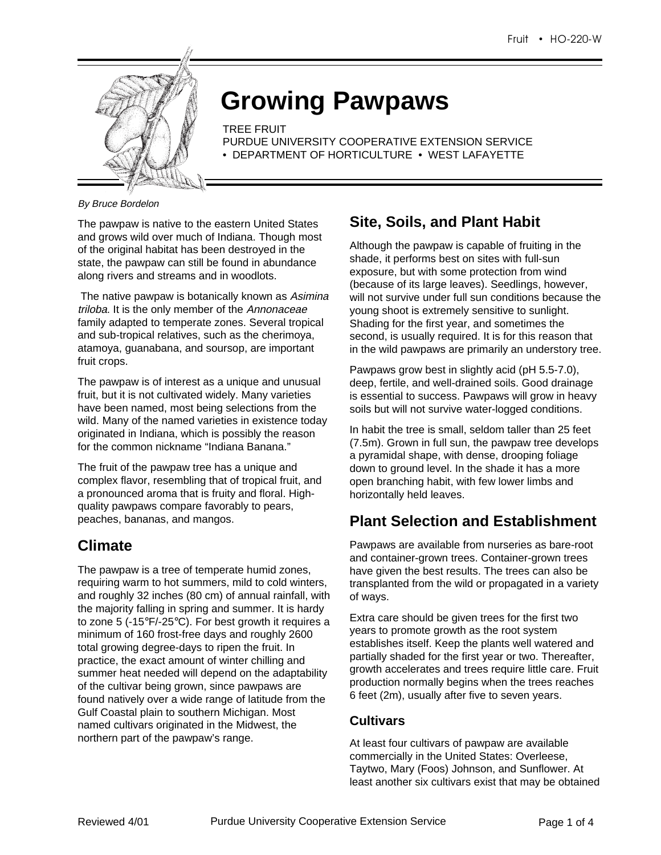

# **Growing Pawpaws**

TREE FRUIT

- PURDUE UNIVERSITY COOPERATIVE EXTENSION SERVICE
- DEPARTMENT OF HORTICULTURE WEST LAFAYETTE

#### By Bruce Bordelon

The pawpaw is native to the eastern United States and grows wild over much of Indiana. Though most of the original habitat has been destroyed in the state, the pawpaw can still be found in abundance along rivers and streams and in woodlots.

The native pawpaw is botanically known as Asimina triloba. It is the only member of the Annonaceae family adapted to temperate zones. Several tropical and sub-tropical relatives, such as the cherimoya, atamoya, guanabana, and soursop, are important fruit crops.

The pawpaw is of interest as a unique and unusual fruit, but it is not cultivated widely. Many varieties have been named, most being selections from the wild. Many of the named varieties in existence today originated in Indiana, which is possibly the reason for the common nickname "Indiana Banana."

The fruit of the pawpaw tree has a unique and complex flavor, resembling that of tropical fruit, and a pronounced aroma that is fruity and floral. Highquality pawpaws compare favorably to pears, peaches, bananas, and mangos.

### **Climate**

The pawpaw is a tree of temperate humid zones, requiring warm to hot summers, mild to cold winters, and roughly 32 inches (80 cm) of annual rainfall, with the majority falling in spring and summer. It is hardy to zone 5 (-15°F/-25°C). For best growth it requires a minimum of 160 frost-free days and roughly 2600 total growing degree-days to ripen the fruit. In practice, the exact amount of winter chilling and summer heat needed will depend on the adaptability of the cultivar being grown, since pawpaws are found natively over a wide range of latitude from the Gulf Coastal plain to southern Michigan. Most named cultivars originated in the Midwest, the northern part of the pawpaw's range.

## **Site, Soils, and Plant Habit**

Although the pawpaw is capable of fruiting in the shade, it performs best on sites with full-sun exposure, but with some protection from wind (because of its large leaves). Seedlings, however, will not survive under full sun conditions because the young shoot is extremely sensitive to sunlight. Shading for the first year, and sometimes the second, is usually required. It is for this reason that in the wild pawpaws are primarily an understory tree.

Pawpaws grow best in slightly acid (pH 5.5-7.0), deep, fertile, and well-drained soils. Good drainage is essential to success. Pawpaws will grow in heavy soils but will not survive water-logged conditions.

In habit the tree is small, seldom taller than 25 feet (7.5m). Grown in full sun, the pawpaw tree develops a pyramidal shape, with dense, drooping foliage down to ground level. In the shade it has a more open branching habit, with few lower limbs and horizontally held leaves.

### **Plant Selection and Establishment**

Pawpaws are available from nurseries as bare-root and container-grown trees. Container-grown trees have given the best results. The trees can also be transplanted from the wild or propagated in a variety of ways.

Extra care should be given trees for the first two years to promote growth as the root system establishes itself. Keep the plants well watered and partially shaded for the first year or two. Thereafter, growth accelerates and trees require little care. Fruit production normally begins when the trees reaches 6 feet (2m), usually after five to seven years.

#### **Cultivars**

At least four cultivars of pawpaw are available commercially in the United States: Overleese, Taytwo, Mary (Foos) Johnson, and Sunflower. At least another six cultivars exist that may be obtained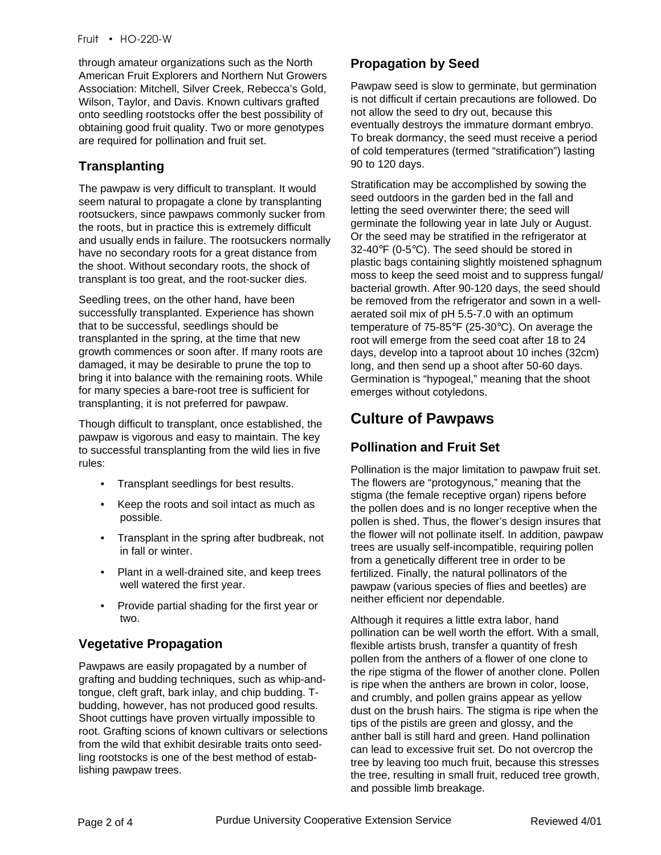through amateur organizations such as the North American Fruit Explorers and Northern Nut Growers Association: Mitchell, Silver Creek, Rebecca's Gold, Wilson, Taylor, and Davis. Known cultivars grafted onto seedling rootstocks offer the best possibility of obtaining good fruit quality. Two or more genotypes are required for pollination and fruit set.

### **Transplanting**

The pawpaw is very difficult to transplant. It would seem natural to propagate a clone by transplanting rootsuckers, since pawpaws commonly sucker from the roots, but in practice this is extremely difficult and usually ends in failure. The rootsuckers normally have no secondary roots for a great distance from the shoot. Without secondary roots, the shock of transplant is too great, and the root-sucker dies.

Seedling trees, on the other hand, have been successfully transplanted. Experience has shown that to be successful, seedlings should be transplanted in the spring, at the time that new growth commences or soon after. If many roots are damaged, it may be desirable to prune the top to bring it into balance with the remaining roots. While for many species a bare-root tree is sufficient for transplanting, it is not preferred for pawpaw.

Though difficult to transplant, once established, the pawpaw is vigorous and easy to maintain. The key to successful transplanting from the wild lies in five rules:

- • Transplant seedlings for best results.
- Keep the roots and soil intact as much as possible.
- Transplant in the spring after budbreak, not in fall or winter.
- Plant in a well-drained site, and keep trees well watered the first year.
- • Provide partial shading for the first year or two.

### **Vegetative Propagation**

Pawpaws are easily propagated by a number of grafting and budding techniques, such as whip-andtongue, cleft graft, bark inlay, and chip budding. Tbudding, however, has not produced good results. Shoot cuttings have proven virtually impossible to root. Grafting scions of known cultivars or selections from the wild that exhibit desirable traits onto seedling rootstocks is one of the best method of establishing pawpaw trees.

### **Propagation by Seed**

Pawpaw seed is slow to germinate, but germination is not difficult if certain precautions are followed. Do not allow the seed to dry out, because this eventually destroys the immature dormant embryo. To break dormancy, the seed must receive a period of cold temperatures (termed "stratification") lasting 90 to 120 days.

Stratification may be accomplished by sowing the seed outdoors in the garden bed in the fall and letting the seed overwinter there; the seed will germinate the following year in late July or August. Or the seed may be stratified in the refrigerator at 32-40°F (0-5°C). The seed should be stored in plastic bags containing slightly moistened sphagnum moss to keep the seed moist and to suppress fungal/ bacterial growth. After 90-120 days, the seed should be removed from the refrigerator and sown in a wellaerated soil mix of pH 5.5-7.0 with an optimum temperature of 75-85°F (25-30°C). On average the root will emerge from the seed coat after 18 to 24 days, develop into a taproot about 10 inches (32cm) long, and then send up a shoot after 50-60 days. Germination is "hypogeal," meaning that the shoot emerges without cotyledons.

# **Culture of Pawpaws**

### **Pollination and Fruit Set**

Pollination is the major limitation to pawpaw fruit set. The flowers are "protogynous," meaning that the stigma (the female receptive organ) ripens before the pollen does and is no longer receptive when the pollen is shed. Thus, the flower's design insures that the flower will not pollinate itself. In addition, pawpaw trees are usually self-incompatible, requiring pollen from a genetically different tree in order to be fertilized. Finally, the natural pollinators of the pawpaw (various species of flies and beetles) are neither efficient nor dependable.

Although it requires a little extra labor, hand pollination can be well worth the effort. With a small, flexible artists brush, transfer a quantity of fresh pollen from the anthers of a flower of one clone to the ripe stigma of the flower of another clone. Pollen is ripe when the anthers are brown in color, loose, and crumbly, and pollen grains appear as yellow dust on the brush hairs. The stigma is ripe when the tips of the pistils are green and glossy, and the anther ball is still hard and green. Hand pollination can lead to excessive fruit set. Do not overcrop the tree by leaving too much fruit, because this stresses the tree, resulting in small fruit, reduced tree growth, and possible limb breakage.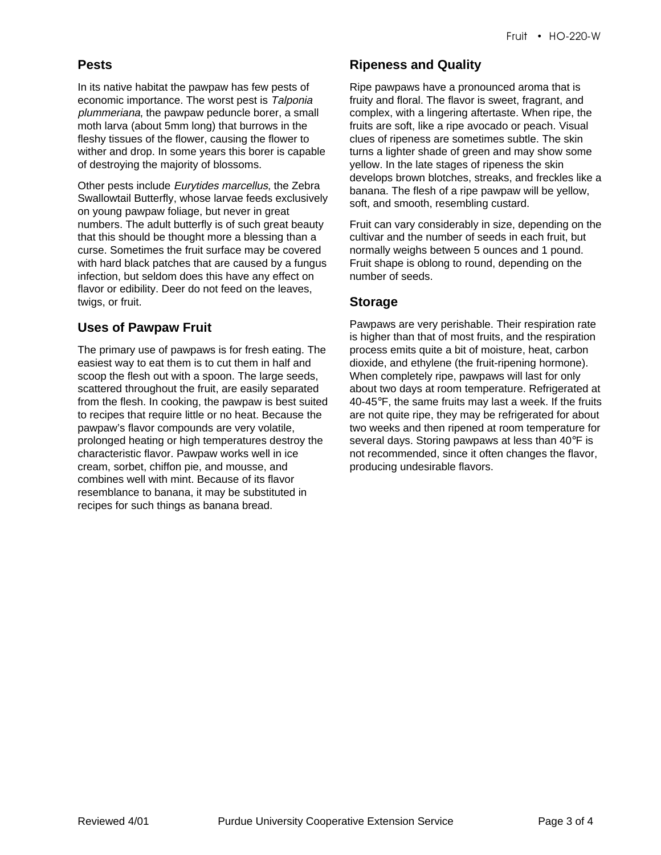#### **Pests**

In its native habitat the pawpaw has few pests of economic importance. The worst pest is Talponia plummeriana, the pawpaw peduncle borer, a small moth larva (about 5mm long) that burrows in the fleshy tissues of the flower, causing the flower to wither and drop. In some years this borer is capable of destroying the majority of blossoms.

Other pests include Eurytides marcellus, the Zebra Swallowtail Butterfly, whose larvae feeds exclusively on young pawpaw foliage, but never in great numbers. The adult butterfly is of such great beauty that this should be thought more a blessing than a curse. Sometimes the fruit surface may be covered with hard black patches that are caused by a fungus infection, but seldom does this have any effect on flavor or edibility. Deer do not feed on the leaves, twigs, or fruit.

### **Uses of Pawpaw Fruit**

The primary use of pawpaws is for fresh eating. The easiest way to eat them is to cut them in half and scoop the flesh out with a spoon. The large seeds, scattered throughout the fruit, are easily separated from the flesh. In cooking, the pawpaw is best suited to recipes that require little or no heat. Because the pawpaw's flavor compounds are very volatile, prolonged heating or high temperatures destroy the characteristic flavor. Pawpaw works well in ice cream, sorbet, chiffon pie, and mousse, and combines well with mint. Because of its flavor resemblance to banana, it may be substituted in recipes for such things as banana bread.

#### **Ripeness and Quality**

Ripe pawpaws have a pronounced aroma that is fruity and floral. The flavor is sweet, fragrant, and complex, with a lingering aftertaste. When ripe, the fruits are soft, like a ripe avocado or peach. Visual clues of ripeness are sometimes subtle. The skin turns a lighter shade of green and may show some yellow. In the late stages of ripeness the skin develops brown blotches, streaks, and freckles like a banana. The flesh of a ripe pawpaw will be yellow, soft, and smooth, resembling custard.

Fruit can vary considerably in size, depending on the cultivar and the number of seeds in each fruit, but normally weighs between 5 ounces and 1 pound. Fruit shape is oblong to round, depending on the number of seeds.

#### **Storage**

Pawpaws are very perishable. Their respiration rate is higher than that of most fruits, and the respiration process emits quite a bit of moisture, heat, carbon dioxide, and ethylene (the fruit-ripening hormone). When completely ripe, pawpaws will last for only about two days at room temperature. Refrigerated at 40-45°F, the same fruits may last a week. If the fruits are not quite ripe, they may be refrigerated for about two weeks and then ripened at room temperature for several days. Storing pawpaws at less than 40°F is not recommended, since it often changes the flavor, producing undesirable flavors.